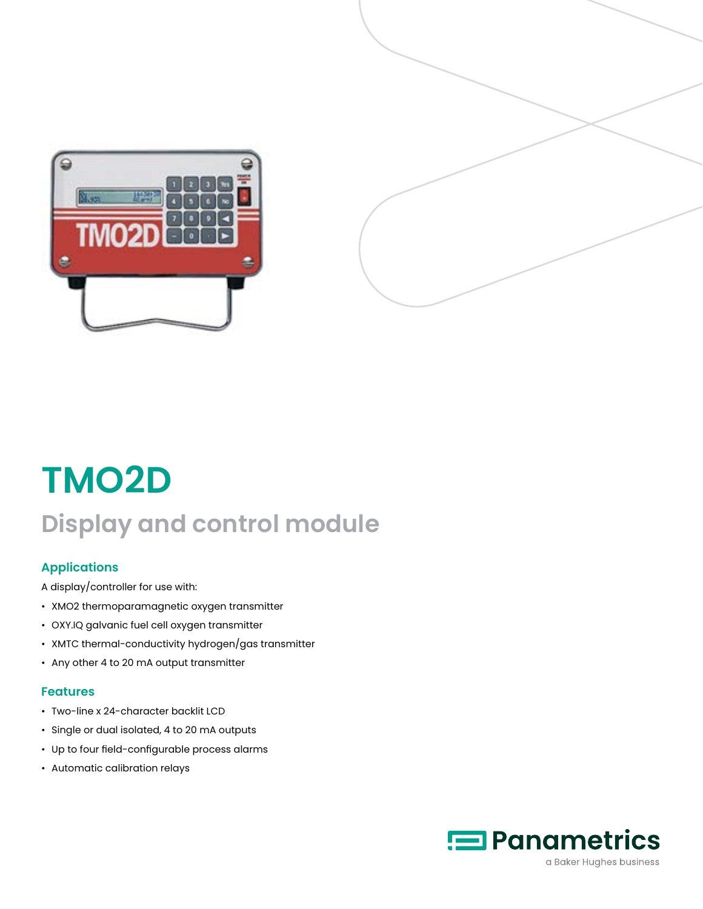



# **TMO2D Display and control module**

# **Applications**

A display/controller for use with:

- XMO2 thermoparamagnetic oxygen transmitter
- OXY.IQ galvanic fuel cell oxygen transmitter
- XMTC thermal-conductivity hydrogen/gas transmitter
- Any other 4 to 20 mA output transmitter

### **Features**

- Two-line x 24-character backlit LCD
- Single or dual isolated, 4 to 20 mA outputs
- Up to four field-configurable process alarms
- Automatic calibration relays

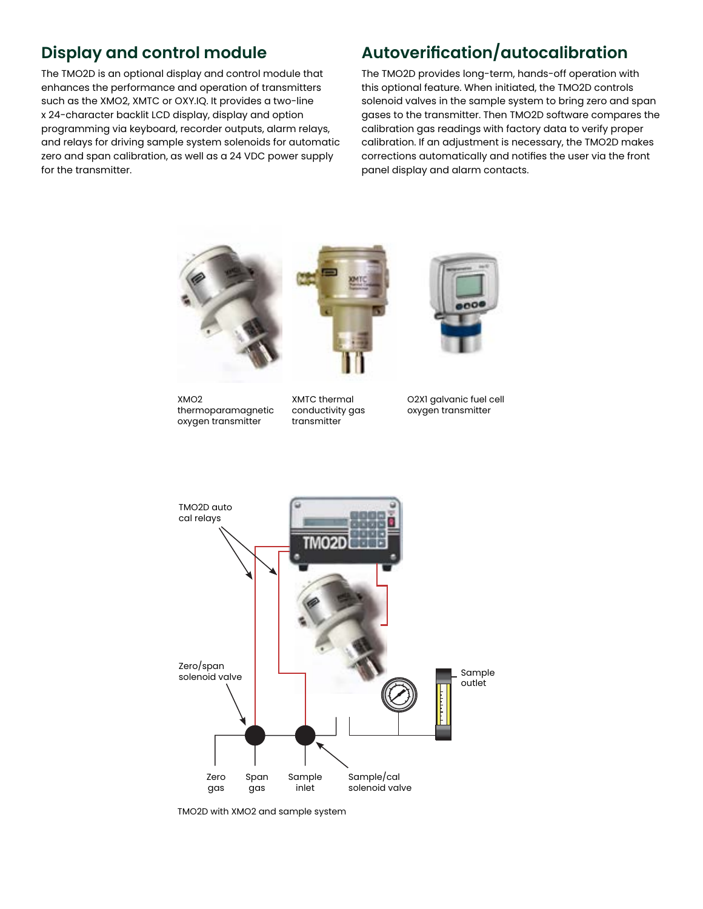# **Display and control module**

The TMO2D is an optional display and control module that enhances the performance and operation of transmitters such as the XMO2, XMTC or OXY.IQ. It provides a two-line x 24-character backlit LCD display, display and option programming via keyboard, recorder outputs, alarm relays, and relays for driving sample system solenoids for automatic zero and span calibration, as well as a 24 VDC power supply for the transmitter.

# **Autoverification/autocalibration**

The TMO2D provides long-term, hands-off operation with this optional feature. When initiated, the TMO2D controls solenoid valves in the sample system to bring zero and span gases to the transmitter. Then TMO2D software compares the calibration gas readings with factory data to verify proper calibration. If an adjustment is necessary, the TMO2D makes corrections automatically and notifies the user via the front panel display and alarm contacts.



TMO2D with XMO2 and sample system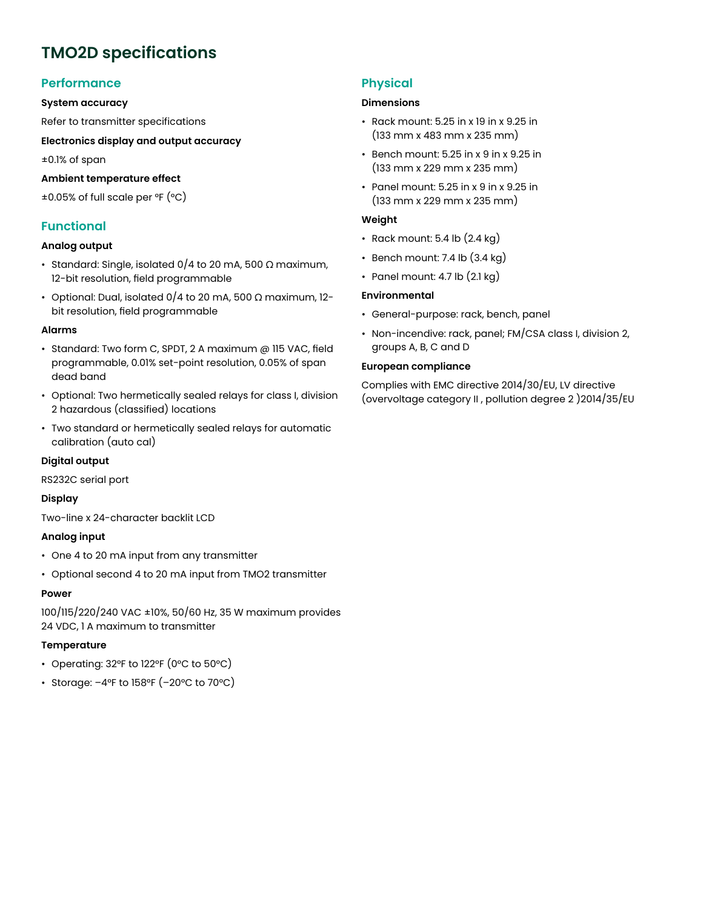# **TMO2D specifications**

## **Performance**

#### **System accuracy**

Refer to transmitter specifications

**Electronics display and output accuracy**

±0.1% of span

#### **Ambient temperature effect**

±0.05% of full scale per °F (°C)

## **Functional**

#### **Analog output**

- Standard: Single, isolated 0/4 to 20 mA, 500 Ω maximum, 12-bit resolution, field programmable
- Optional: Dual, isolated 0/4 to 20 mA, 500 Ω maximum, 12 bit resolution, field programmable

#### **Alarms**

- Standard: Two form C, SPDT, 2 A maximum @ 115 VAC, field programmable, 0.01% set-point resolution, 0.05% of span dead band
- Optional: Two hermetically sealed relays for class I, division 2 hazardous (classified) locations
- Two standard or hermetically sealed relays for automatic calibration (auto cal)

#### **Digital output**

RS232C serial port

#### **Display**

Two-line x 24-character backlit LCD

#### **Analog input**

- One 4 to 20 mA input from any transmitter
- Optional second 4 to 20 mA input from TMO2 transmitter

#### **Power**

100/115/220/240 VAC ±10%, 50/60 Hz, 35 W maximum provides 24 VDC, 1 A maximum to transmitter

#### **Temperature**

- Operating: 32°F to 122°F (0°C to 50°C)
- Storage: –4°F to 158°F (–20°C to 70°C)

## **Physical**

#### **Dimensions**

- Rack mount: 5.25 in x 19 in x 9.25 in (133 mm x 483 mm x 235 mm)
- Bench mount: 5.25 in x 9 in x 9.25 in (133 mm x 229 mm x 235 mm)
- Panel mount: 5.25 in x 9 in x 9.25 in (133 mm x 229 mm x 235 mm)

#### **Weight**

- Rack mount: 5.4 lb  $(2.4 \text{ kg})$
- Bench mount: 7.4 lb (3.4 kg)
- Panel mount: 4.7 lb  $(2.1 \text{ kg})$

#### **Environmental**

- General-purpose: rack, bench, panel
- Non-incendive: rack, panel; FM/CSA class I, division 2, groups A, B, C and D

#### **European compliance**

Complies with EMC directive 2014/30/EU, LV directive (overvoltage category II , pollution degree 2 )2014/35/EU